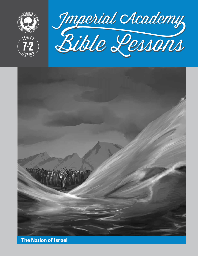

**LEVEL 7**

**<sup>L</sup>ES<sup>S</sup> <sup>O</sup> <sup>N</sup> <sup>2</sup>**

**7 2**





**The Nation of Israel**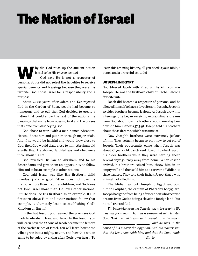# The Nation of Israel

**W**hy did God raise up the ancient nation Israel to be His *chosen people?* God says He is not a respecter of persons. So He did not select the Israelites to receive special benefits and blessings because they were His favorite. God chose Israel for a responsibility and a purpose.

About 2,000 years after Adam and Eve rejected God in the Garden of Eden, people had become so numerous and so evil that God decided to create a nation that could show the rest of the nations the blessings that come from obeying God and the curses that come from disobeying God.

God chose to work with a man named Abraham. He would test him and put him through major trials. And if he would be faithful and would draw close to God, then God would draw close to him. Abraham did exactly that: He showed faithfulness and obedience throughout his life.

God revealed His law to Abraham and to his descendants and gave them an opportunity to follow Him and to be an example to other nations.

God said Israel was like His firstborn child (Exodus 4:22). A good father does not love his firstborn more than his other children, and God does not love Israel more than He loves other nations. But He does use His firstborn as an example. If His firstborn obeys Him and other nations follow that example, it ultimately leads to establishing God's Kingdom on Earth!

In the last lesson, you learned the promises God made to Abraham, Isaac and Jacob. In this lesson, you will learn how the 12 sons of Jacob became the fathers of the twelve tribes of Israel. You will learn how these tribes grew into a mighty nation, and how this nation came to be ruled by a king after God's own heart. To

learn this amazing history, all you need is your Bible, a pencil and a prayerful attitude!

#### JOSEPH IN EGYPT

God blessed Jacob with 12 sons. His 11th son was Joseph: He was the firstborn child of Rachel, Jacob's favorite wife.

Jacob did become a respecter of persons, and he allowed himself to have a favorite son: Joseph. Joseph's 10 older brothers became jealous. As Joseph grew into a teenager, he began receiving extraordinary dreams from God about how his brothers would one day bow down to him (Genesis 37:5-9). Joseph told his brothers about these dreams, which was unwise.

Now Joseph's brothers were extremely jealous of him. They actually began to plot how to get rid of Joseph. Their opportunity came when Joseph was about 17 years old. Jacob sent Joseph to check up on his older brothers while they were herding sheep several days' journey away from home. When Joseph arrived, his brothers seized him, threw him in an empty well and then sold him to a caravan of Midianite slave traders. They told their father, Jacob, that a wild animal had killed him.

The Midianites took Joseph to Egypt and sold him to Potiphar, the captain of Pharaoh's bodyguard. Joseph had gone from being a favored son who received dreams from God to being a slave in a foreign land! But he still trusted God.

*Fill in the blanks using Genesis 39:2-5 to see what life was like for a man who was a slave—but who trusted*  God: "And the Lorp was with Joseph, and he was a *; and he was in the* 

*house of his master the Egyptian. And his master saw*  that the Lorp was with him, and that the Lorp made  *did to*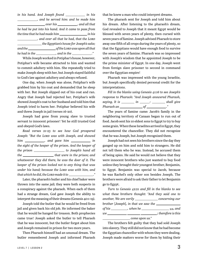| in his hand. And Joseph found _____________ in his                                       |  |
|------------------------------------------------------------------------------------------|--|
| _____________, and he served him: and he made him                                        |  |
| $\hspace{2.5cm} over\hspace{1.5cm} his \_\_ \; and\hspace{1.5cm} all\hspace{1.5cm} that$ |  |
| he had he put into his hand. And it came to pass from                                    |  |
|                                                                                          |  |
| ____________, and over all that he had, that the LORD                                    |  |
| __________________the Egyptian's house for Joseph's sake;                                |  |
|                                                                                          |  |
| he had in the $\_\_\_\_\_$ , and in the $\_\_\_\_\_\_$ .                                 |  |

While Joseph worked in Potiphar's house, however, Potiphar's wife became attracted to him and wanted to commit adultery with him. She repeatedly tried to make Joseph sleep with her, but Joseph stayed faithful to God's law against adultery and always refused.

One day, when Joseph was alone, Potiphar's wife grabbed him by his coat and demanded that he sleep with her. But Joseph slipped out of his coat and ran. Angry that Joseph had rejected her, Potiphar's wife showed Joseph's coat to her husband and told him that Joseph tried to harm her. Potiphar believed his wife and threw Joseph in jail (verses 16-20).

Joseph had gone from young slave to trusted servant to innocent prisoner! Yet he still trusted God and obeyed God's laws.

*Read verses 21-23 to see how God prospered Joseph: "But the Lord was with Joseph, and showed him* \_\_\_\_\_\_\_\_\_\_\_, and gave him \_\_\_\_\_\_\_\_\_\_ in *the sight of the keeper of the prison. And the keeper of the prison* \_\_\_\_\_\_\_\_\_\_\_\_\_\_\_\_\_\_\_\_ to Joseph's hand all *the* \_\_\_\_\_\_\_\_\_\_\_\_\_\_\_\_\_\_\_\_\_that were in the prison; and *whatsoever they did there, he was the doer of it. The keeper of the prison looked not to any thing that was under his hand; because the Lord was with him, and*  that which he did, the Lorp made it to \_\_\_\_\_\_\_\_\_\_\_\_\_\_\_\_\_."

Later, the pharaoh's butler and his chief baker were thrown into the same jail; they were both suspects in a conspiracy against the pharaoh. When each of them had a strange dream, God gave Joseph the ability to interpret the meaning of their dreams (Genesis 40:1-19).

Joseph told the butler that he would be freed from jail and given back his old job. He informed the baker that he would be hanged for treason. Both prophecies came true! Joseph asked the butler to tell Pharaoh that he was innocent, but the butler forgot about him and Joseph remained in prison for two more years.

Then Pharaoh himself had an unusual dream. The butler remembered Joseph and informed Pharaoh

that he knew a man who could interpret dreams.

The pharaoh sent for Joseph and told him about his dream. After listening to the pharaoh's dream, God revealed to Joseph that it meant Egypt would be blessed with seven years of plenty, then cursed with seven years of famine. Joseph advised Pharaoh to store away one fifth of all crops during the years of plenty, so that the Egyptians would have enough food to survive the seven years of famine. Pharaoh was so impressed with Joseph's wisdom that he appointed Joseph to be the prime minister of Egypt. In one day, Joseph went from foreign slave prisoner to second in command over the Egyptian empire!

Pharaoh was impressed with the young Israelite, but Joseph specifically denied personal credit for the interpretations.

*Fill in the blanks using Genesis 41:16 to see Joseph's response to Pharaoh: "And Joseph answered Pharaoh, saying, It is* \_\_\_\_\_\_\_ *in* \_\_\_\_\_\_: \_\_\_\_\_\_\_ *shall give Pharaoh an of ."*

The years of famine came: Jacob's family in the neighboring territory of Canaan began to run out of food. Jacob sent his 10 eldest sons to Egypt to try to buy some grain. When these Israelites arrived in Egypt, they encountered the chancellor. They did not recognize that he was Joseph, but Joseph recognized them.

Joseph had not seen his brothers since the day they ganged up on him and sold him to strangers. He did not tell them who he was. Instead, he accused them of being spies. He said he would not believe that they were innocent brothers who just wanted to buy food unless they brought their youngest brother, Benjamin, to Egypt. Benjamin was special to Jacob, because he was Rachel's only other son besides Joseph. The brothers were afraid to ask their father to let Benjamin go to Egypt.

| Turn to Genesis 42:21 and fill in the blanks to see       |                              |  |  |  |
|-----------------------------------------------------------|------------------------------|--|--|--|
| what these brothers thought: "And they said one to        |                              |  |  |  |
| another, We are verily ________________ concerning our    |                              |  |  |  |
| brother [Joseph], in that we saw the $\_\_$               |                              |  |  |  |
| of his ___________, when he _____________________ us, and |                              |  |  |  |
| $we \_\_\_\_\_\_\_\_\_\_\_\_\_\_$ ; therefore is this     |                              |  |  |  |
|                                                           | $\frac{1}{2}$ come upon us." |  |  |  |

The brothers felt guilty that they had sold Joseph into slavery. They still did not know that he had become the Egyptian chancellor with whom they were dealing. Joseph made matters worse for them by hiding their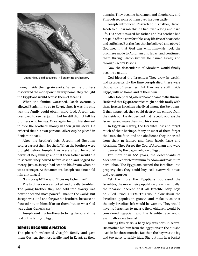

Joseph's cup is discovered in Benjamin's grain sack.

money inside their grain sacks. When the brothers discovered the money on their way home, they thought the Egyptians would accuse them of stealing.

When the famine worsened, Jacob eventually allowed Benjamin to go to Egypt, since it was the only way the family could obtain more food. Joseph was overjoyed to see Benjamin, but he still did not tell his brothers who he was. Once again he told his steward to hide the brothers' money in their grain sacks. He ordered that his own personal silver cup be placed in Benjamin's sack.

After the brother's left, Joseph had Egyptian soldiers arrest them for theft. When the brothers were brought before Joseph, they were afraid he would never let Benjamin go and that their father would die in sorrow. They bowed before Joseph and begged for mercy, just as Joseph had seen in his dream when he was a teenager. At that moment, Joseph could not hold it in any longer!

"I am Joseph!" he said. "Does my father live?"

The brothers were shocked and greatly troubled. The young brother they had sold into slavery was now the second-most powerful man in the world! But Joseph was kind and forgave his brothers, because he focused not on himself or on them, but on what God was doing (Genesis 45:5).

Joseph sent his brothers to bring Jacob and the rest of the family to Egypt.

#### ISRAEL BECOMES A NATION

The pharaoh welcomed Joseph's family and gave them Goshen, the most fertile land in Egypt, as their domain. They became herdsmen and shepherds, and Pharaoh set some of them over his own cattle.

Joseph introduced Pharaoh to his father, Jacob. Jacob told Pharaoh that he had lived a long and hard life. His deceit toward his father and his brother had not paid off in a comfortable, easy life free of heartache and suffering. But the fact that he believed and obeyed God meant that God was with him—He took the promises made to Abraham and Isaac, and continued them through Jacob (whom He named Israel) and through Jacob's 12 sons.

Now the descendants of Abraham would finally become a nation.

God blessed the Israelites: They grew in wealth and prosperity. By the time Joseph died, there were thousands of Israelites. But they were still inside Egypt, with no homeland of their own.

After Joseph died, a new pharaoh came to the throne. He feared that Egypt's enemies might be able to ally with these foreign Israelites who lived among the Egyptians. If that happened, they could destroy his empire from the inside out. He also decided that he could oppress the Israelites and make them into his slaves.

In Egyptian slavery, the Israelites lost and forgot much of their heritage. Many or most of them forgot the laws, the faith and the obedience they inherited from their 12 fathers and from Jacob, Isaac and Abraham. They forgot the God of Abraham and were influenced by the pagan religion of Egypt.

For more than 100 years, the descendants of Abraham lived with minimum freedom and maximum hard labor. The Egyptians turned the Israelites into property that they could buy, sell, overwork, abuse and even murder!

Yet the more the Egyptians oppressed the Israelites, the more their population grew. Eventually, the pharaoh decreed that all Israelite baby boys be killed (Exodus 1:22). This would slow down the Israelites' population growth and make it so that the only Israelites left would be women. They would have no Israelites to marry, their children would be considered Egyptian, and the Israelite race would eventually cease to exist.

During this crisis, a baby boy was born in secret. His mother hid him from the Egyptians in the hut she lived in for three months. But then the boy was too big and too noisy to safely hide. She put him in a basket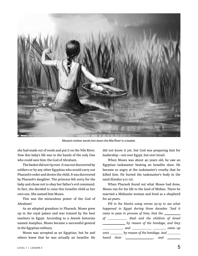

Moses's mother sends him down the Nile River in a basket.

she had made out of reeds and put it on the Nile River. Now this baby's life was in the hands of the only One who could save him: the God of Abraham.

The basket did not tip over. It was not discovered by soldiers or by any other Egyptian who would carry out Pharaoh's order and drown the child. It was discovered by Pharaoh's daughter. The princess felt sorry for the baby and chose not to obey her father's evil command. In fact, she decided to raise this Israelite child as her own son. She named him Moses.

This was the miraculous power of the God of Abraham!

As an adopted grandson to Pharaoh, Moses grew up in the royal palace and was trained by the best teachers in Egypt. According to a Jewish historian named Josephus, Moses became a successful general in the Egyptian military.

Moses was accepted as an Egyptian, but he and others knew that he was actually an Israelite. He

did not know it yet, but God was preparing him for leadership—not over Egypt, but over Israel.

When Moses was about 40 years old, he saw an Egyptian taskmaster beating an Israelite slave. He became so angry at the taskmaster's cruelty that he killed him. He buried the taskmaster's body in the sand (Exodus 2:11-12).

When Pharaoh found out what Moses had done, Moses ran for his life to the land of Midian. There he married a Midianite woman and lived as a shepherd for 40 years.

*Fill in the blanks using verses 23-25 to see what happened in Egypt during those decades: "And it came to pass in process of time, that the of died: and the children of Israel by reason of the bondage, and they and \_\_\_\_\_\_\_\_\_\_\_\_\_\_ \_\_\_\_\_\_\_\_ came up unto* <u>by reason of the bondage. And</u> *heard their* \_\_\_\_\_\_\_\_\_\_\_\_\_\_\_\_\_\_\_, and \_\_\_\_\_\_\_\_\_\_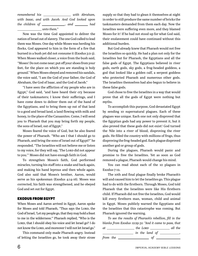*remembered his* \_\_\_\_\_\_\_\_\_\_\_\_\_\_\_\_\_\_\_\_ with Abraham, *with Isaac, and with Jacob. And God looked upon the children of* \_\_\_\_\_\_\_\_\_\_\_\_, and \_\_\_\_\_\_ had  *unto them."*

Now was the time God appointed to deliver the nation of Israel out of slavery. The one God called to lead them was Moses. One day while Moses was herding his flocks, God appeared to him in the form of a fire that burned in a bush yet did not consume it (Exodus 3:2-3). When Moses walked closer, a voice from the bush said, "Moses! Do not come near; put off your shoes from your feet, for the place on which you are standing is holy ground." When Moses obeyed and removed his sandals, the voice said, "I am the God of your father, the God of Abraham, the God of Isaac, and the God of Jacob."

"I have seen the affliction of my people who are in Egypt," God said, "and have heard their cry because of their taskmasters; I know their sufferings, and I have come down to deliver them out of the hand of the Egyptians, and to bring them up out of that land to a good and broad land, a land flowing with milk and honey, to the place of the Canaanites. Come, I will send you to Pharaoh that you may bring forth my people, the sons of Israel, out of Egypt."

Moses feared the voice of God, but he also feared the power of Pharaoh. "Who am I that I should go to Pharaoh, and bring the sons of Israel out of Egypt?" he responded. "The Israelites will not believe me or listen to my voice, for they will say, 'The LORD did not appear to you.'" Moses did not have enough faith in God.

To strengthen Moses's faith, God performed miracles, turning his staff into a snake and back again, and making his hand leprous and then whole again. God also said that Moses's brother, Aaron, would serve as his spokesman (Exodus 4:14-16). Moses was corrected, his faith was strengthened, and he obeyed God and set out for Egypt.

#### EXODUS FROM EGYPT

When Moses and Aaron arrived in Egypt, Aaron spoke for Moses and told Pharaoh, "Thus says the LORD, the God of Israel, 'Let my people go, that they may hold a feast to me in the wilderness.'" Pharaoh replied, "Who is the LORD, that I should obey his voice and let Israel go? I do not know the Lord, and moreover I will not let Israel go."

This command only made Pharaoh angry. Instead of letting the Israelites go, he took away their straw

supply so that they had to glean it themselves at night in order to still produce the same number of bricks the taskmasters demanded from them each day. Now the Israelites were suffering even more, and they blamed Moses for it! If he had not stood up for what God said, their enslavement could have continued without this additional burden.

But God already knew that Pharaoh would not free the Israelites so quickly. He had a plan not only for the Israelites but for Pharaoh, the Egyptians and all the false gods of Egypt. The Egyptians believed in river gods, earth gods, sky gods, a frog-headed goddess, a god that looked like a golden calf, a serpent goddess who protected Pharaoh and numerous other gods. The Israelites themselves had also begun to believe in these false gods.

God chose to free the Israelites in a way that would prove that all the gods of Egypt were nothing but myths.

To accomplish this purpose, God devastated Egypt by sending 10 supernatural plagues. Each of these plagues was unique. Each one not only disproved that the Egyptian gods had any power to prevent it, but it also proved that these gods did not exist! God turned the Nile into a river of blood, disproving the river gods. He filled the country with millions of frogs, thus disproving the frog-headed god. Each plague disproved another god or group of gods.

During the plagues, Pharaoh would panic and promise to free the Israelites. Yet as soon as God removed a plague, Pharaoh would change his mind.

You can read about each of the 10 plagues in Exodus 7-12.

The 10th and final plague finally broke Pharaoh's will and caused him to let the Israelites go. This plague had to do with the firstborn. Through Moses, God told Pharaoh that the Israelites were like His firstborn child. If Pharaoh did not free the Israelites, God would kill every firstborn man, woman, child and animal in Egypt. Moses publicly warned the Egyptians and the Israelites that this catastrophe was coming. But Pharaoh ignored the warning.

*To see the results of Pharaoh's rebellion, fill in the blanks from Exodus 12:29-31: "And it came to pass, that at the Lord all the in the land of \_\_\_\_\_\_\_\_*, *from the of*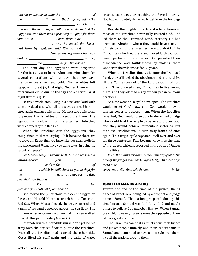|                                                      | the _______________that was in the dungeon; and all the     |
|------------------------------------------------------|-------------------------------------------------------------|
|                                                      | $of$ And Pharaoh                                            |
|                                                      | rose up in the night, he, and all his servants, and all the |
|                                                      | Egyptians; and there was a great cry in Egypt; for there    |
|                                                      | $was not a \_\_\_\_\$ where there was $\_\_\_\_\_\_\_\$     |
|                                                      | ____________________________. And he called for Moses       |
|                                                      | and Aaron by night, and said, Rise up, and _______          |
|                                                      |                                                             |
|                                                      | and the $\_\_\_\_$ of $\_\_\_\_\_$ ; and go,                |
| _______________ the ____________, as you have said." |                                                             |

The next day, the Egyptians were desperate for the Israelites to leave. After enslaving them for several generations without pay, they now gave the Israelites silver and gold. The Israelites left Egypt with great joy that night. God led them with a miraculous cloud during the day and a fiery pillar at night (Exodus 13:21).

Nearly a week later, living in a desolated land with so many dead and with all the slaves gone, Pharaoh once again changed his mind. He mustered his army to pursue the Israelites and recapture them. The Egyptian army closed in on the Israelites while they were camped by the Red Sea.

When the Israelites saw the Egyptians, they complained to Moses, saying, "Is it because there are no graves in Egypt that you have taken us away to die in the wilderness? What have you done to us, in bringing us out of Egypt?"

|                                      | See Moses's reply in Exodus 14:13-14: "And Moses said                                                                           |  |
|--------------------------------------|---------------------------------------------------------------------------------------------------------------------------------|--|
|                                      | $unto the people, \underline{\hspace{2cm}} you \underline{\hspace{2cm}}, \underline{\hspace{2cm}}$                              |  |
|                                      |                                                                                                                                 |  |
|                                      | the _________, which he will show to you to day: for                                                                            |  |
|                                      | the _________________________ whom you have seen to day,                                                                        |  |
|                                      | you shall see them again ______ __________ ______                                                                               |  |
|                                      | $\frac{1}{\sqrt{1-\frac{1}{2}}}\cdot$ The $\frac{1}{\sqrt{1-\frac{1}{2}}}\cdot$ shall $\frac{1}{\sqrt{1-\frac{1}{2}}}\cdot$ for |  |
| you, and you shall hold your peace." |                                                                                                                                 |  |

God moved the pillar cloud to block the Egyptian forces, and He told Moses to stretch his staff over the Red Sea. When Moses obeyed, the waters parted and a path of dry land appeared across the sea floor. The millions of Israelite men, women and children walked through this path to safety (verse 22).

Pharaoh saw this incredible miracle and yet led his army onto the dry sea floor to pursue the Israelites. Once all the Israelites had reached the other side, Moses lifted his staff again and the walls of water

crashed back together, crushing the Egyptian army! God had completely delivered Israel from the bondage of Egypt.

Despite this mighty miracle and others, however, most of the Israelites never fully trusted God. God led them to the Promised Land, territory He had promised Abraham where they could have a nation of their own. But the Israelites were too afraid of the Canaanites who lived there and lacked faith that God would perform more miracles. God punished their disobedience and faithlessness by making them wander in the wilderness for 40 years.

When the Israelites finally did enter the Promised Land, they still lacked the obedience and faith to drive all the Canaanites out of the land as God had told them. They allowed many Canaanites to live among them, and they adopted many of their pagan religious practices.

As time went on, a cycle developed. The Israelites would reject God's law, and God would allow a foreign power to oppress them. When the Israelites repented, God would raise up a leader called a judge who would lead the people to believe and obey God, and they would achieve miraculous victories. But then the Israelites would turn away from God once again. This tragic cycle repeated itself over and over for three centuries. This became known as the time of the judges, which is recorded in the book of Judges in the Bible.

*Fill in the blanks for a one-verse summary of what the time of the judges was like* (*Judges 21:25*)*: "In those days there was* \_\_\_\_\_\_ \_\_\_\_\_\_\_\_\_\_ \_\_\_\_\_\_ \_\_\_\_\_\_\_ *every man did that which was* \_\_\_\_\_\_\_\_\_\_\_ in his *."*

#### ISRAEL DEMANDS A KING

Toward the end of the time of the judges, the 12 tribes of Israel were being led by a prophet and judge named Samuel. The nation prospered during this time because Samuel was faithful to God and taught others to believe God and obey His law. When Samuel grew old, however, his sons were the opposite of their father's good example.

The Israelites saw that Samuel's sons took bribes and judged people unfairly, and their leaders came to Samuel and demanded to have a king rule over them, like all the nations around them.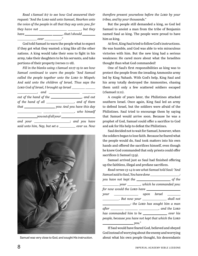*Read 1 Samuel 8:7 to see how God answered their*  request: "And the Lorp said unto Samuel, Hearken unto *the voice of the people in all that they say unto you: for they have not* \_\_\_\_\_\_\_\_\_\_\_\_\_\_\_\_\_\_\_\_\_\_\_\_\_\_\_\_\_\_\_\_\_\_, but they *have , that I should over ."*

God told Samuel to warn the people what to expect if they got what they wanted: a king like all the other nations. A king would take their sons to fight in his army, take their daughters to be his servants, and take portions of their property (verses 11-18).

*Fill in the blanks using 1 Samuel 10:17-19 to see how Samuel continued to warn the people: "And Samuel called the people together unto the Lorp to Mizpeh; And said unto the children of Israel, Thus says the Lord God of Israel, I brought up Israel* 

| $\frac{1}{\sqrt{1-\frac{1}{\sqrt{1-\frac{1}{\sqrt{1-\frac{1}{\sqrt{1-\frac{1}{\sqrt{1-\frac{1}{\sqrt{1-\frac{1}{\sqrt{1-\frac{1}{\sqrt{1-\frac{1}{\sqrt{1-\frac{1}{\sqrt{1-\frac{1}{\sqrt{1-\frac{1}{\sqrt{1-\frac{1}{\sqrt{1-\frac{1}{\sqrt{1-\frac{1}{\sqrt{1-\frac{1}{\sqrt{1-\frac{1}{\sqrt{1-\frac{1}{\sqrt{1-\frac{1}{\sqrt{1-\frac{1}{\sqrt{1-\frac{1}{\sqrt{1-\frac{1}{\sqrt{1-\frac{1}{\sqrt{1-\frac{1}{\sqrt{1-\frac{1$ |
|-----------------------------------------------------------------------------------------------------------------------------------------------------------------------------------------------------------------------------------------------------------------------------------------------------------------------------------------------------------------------------------------------------------------------------------|
| out of the hand of the _________________, and out                                                                                                                                                                                                                                                                                                                                                                                 |
| of the hand of all _____________, and of them                                                                                                                                                                                                                                                                                                                                                                                     |
|                                                                                                                                                                                                                                                                                                                                                                                                                                   |
| ________________, who himself                                                                                                                                                                                                                                                                                                                                                                                                     |
| $\underbrace{\hspace{2.5cm}} \hspace{2.5cm} you out of all your \underline{\hspace{2.5cm}} \hspace{2.5cm}$                                                                                                                                                                                                                                                                                                                        |
| and your __________________; and you have                                                                                                                                                                                                                                                                                                                                                                                         |
| said unto him, Nay, but set a ___________ over us. Now                                                                                                                                                                                                                                                                                                                                                                            |



*therefore present yourselves before the LORD by your tribes, and by your thousands."*

But the people still demanded a king, so God led Samuel to anoint a man from the tribe of Benjamin named Saul as king. The people were proud to have him as king.

At first, King Saul tried to follow God's instructions. He was humble, and God was able to win miraculous victories with him. But the new king had a serious weakness: He cared more about what the Israelites thought than what God commanded!

One of Saul's first responsibilities as king was to protect the people from the invading Ammonite army led by King Nahash. With God's help, King Saul and his army totally destroyed the Ammonites, chasing them until only a few scattered soldiers escaped (1 Samuel 11:11).

A couple of years later, the Philistines attacked southern Israel. Once again, King Saul led an army to defend Israel, but the soldiers were afraid of the Philistines. Saul tried to encourage them by saying that Samuel would arrive soon. Because he was a prophet of God, Samuel could offer a sacrifice to God and ask for His help to defeat the Philistines.

Saul decided not to wait for Samuel, however, when the soldiers began to lose faith. Because he feared what the people would do, Saul took matters into his own hands and offered the sacrifices himself, even though he knew God commanded that only priests could offer sacrifices (1 Samuel 13:9).

Samuel arrived just as Saul had finished offering up the faithless, illegal and profane sacrifices.

| Read verses 13-14 to see what Samuel told Saul: "And       |  |
|------------------------------------------------------------|--|
| Samuel said to Saul, You have done ______________________: |  |
|                                                            |  |
|                                                            |  |
| for now would the LORD have $\_\_$                         |  |
| your ________________ upon Israel _______                  |  |
| ____________. But now your __________________ shall not    |  |
| $\overline{\phantom{a}}$ : the LORD has sought him a man   |  |
|                                                            |  |
| has commanded him to be __________________ over his        |  |
| people, because you have not kept that which the LORD      |  |
|                                                            |  |

If Saul would have feared God, believed and obeyed God instead of worrying about the enemy and worrying Samuel was very close to God, and sought His instruction. <br>about what his own people thought, his descendants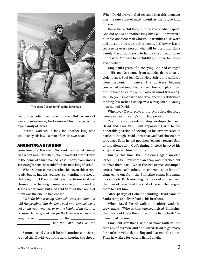

The giant Goliath terrified the Israelites.

could have ruled over Israel forever. But because of Saul's disobedience, God removed his lineage as the royal family of Israel.

Instead, God would look for another king who would obey His law—a man after His own heart.

#### ANOINTING A NEW KING

Some time after this event, God sent the Prophet Samuel on a secret mission to Bethlehem. God told him to travel to the home of a man named Jesse. There, from among Jesse's eight sons, he would find the next king of Israel!

When Samuel came, Jesse had his seven eldest sons ready, but he had his youngest son tending the sheep. He thought that David could never be the one God had chosen to be the king. Samuel was very impressed by Jesse's older sons, but God told Samuel that none of them was the one He had chosen.

*Fill in the blanks using 1 Samuel 16:7 to see what God told His prophet: "But the Lord said unto Samuel, Look not on his countenance, or on the height of his stature;*  because I have refused him: for the Lorp sees not as man *sees; for man on the* 

 $\frac{1}{2}$ , but the LORD looks on the

Samuel asked Jesse if he had another son. Jesse replied that David was in the field, keeping the sheep.

When David arrived, God revealed that this teenager was the one Samuel must anoint as the future king of Israel.

David had a childlike, humble and obedient spirit. God did not want another king like Saul. He wanted a humble, obedient man who would tremble at His word and not at the pressure of the people. In this way, David represents every person who will be born into God's Family. You do not have to be handsome or beautiful or impressive: You have to be childlike, humble, believing and obedient.

King Saul's years of disobeying God had changed him. His moods swung from suicidal depression to violent rage. Saul lost God's Holy Spirit and suffered from demonic influence. His advisers became concerned and sought out a man who could play music on the harp to calm Saul's troubled mind (verses 14- 16). The young man who had developed this skill while tending his father's sheep was a respectable young man named David.

Whenever David played, the evil spirit departed from Saul, and the king's mind had peace.

Over time, a close relationship developed between David and King Saul. Saul appointed David to the honorable position of serving as his armorbearer in battle. Although David knew that God had chosen him to replace Saul, he did not show jealousy toward Saul or impatience with God's timing. Instead he loved his king and served him faithfully.

During this time, the Philistines again invaded Israel. King Saul mustered an army and marched out to drive them back. When the two armies encamped across from each other, an enormous, 10-foot-tall giant came out from the Philistine camp. His name was Goliath. Each morning, he mocked and scorned the men of Israel and the God of Israel, challenging them to fight him.

After 40 days of Goliath's taunting, David came to Saul's camp to deliver food to his brothers.

When David heard Goliath insulting God, he grew angry. "Who is this uncircumcised Philistine, that he should defy the armies of the living God?" he demanded to know.

King Saul saw that David had more faith in God than any of his men, and he allowed David to get ready for battle. David took his sling and five smooth stones. Then he walked forward to fight Goliath.

*."*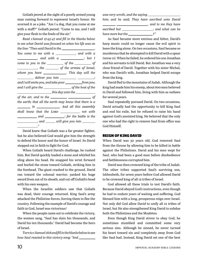Goliath jeered at the sight of a poorly armed young man coming forward to represent Israel's honor. He scorned it as a joke. **"**Am I a dog, that you come at me with a staff?" Goliath jeered. "Come to me, and I will give your flesh to the fowls of the air."

*Read 1 Samuel 17:45-47 and fill in the blanks below to see what David was focused on when his life was on the line: "Then said David to the , You come to me with a \_\_\_\_\_\_\_\_*, and with a *a and with a* <u>*<i>m*</u> *but I i but I*</u> *come to you in the* \_\_\_\_\_\_\_\_\_\_ of the \_\_\_\_\_\_\_\_\_ of *definition*, the <u>contact of the armies of Israel</u>, *whom you have . This day will the deliver you into* \_\_\_\_\_\_\_\_\_\_\_\_\_\_\_\_\_\_\_; *and I will smite you, and take your from you; and I will give the of the host of the this day unto the of the air, and to the of the earth; that all the earth may know that there is a in . And all this assembly*  shall know that the LORD \_\_\_\_\_\_\_\_\_\_\_ not with  *and : for the battle is the , and will give you into ."*

David knew that Goliath was a far greater fighter, but he also believed God would give him the strength to defend His honor and the honor of Israel. So David stepped out in faith to fight for God.

When Goliath heard David's challenge, he rushed him. But David quickly loaded a stone and whirled his sling above his head. He snapped his wrist forward and hurled the stone toward Goliath, striking him in the forehead. The giant crashed to the ground. David ran toward the colossal warrior, yanked his huge sword from out of its sheath, and cut off Goliath's head with his own weapon.

When the Israelite soldiers saw that Goliath was dead, their courage returned. King Saul's army attacked the Philistine forces, forcing them to flee the country. Following the example of David's courage and faith in God, Israel was victorious!

When the people came out to celebrate the victory, the women sang, "Saul has slain his thousands, and David his ten thousands." David had become the hero of Israel.

*Turn to 1 Samuel 18:8 and fill in the blanks below to see how Saul reacted to this victory song: "And*  *was very wroth, and the saying him; and he said, They have ascribed unto David , and to me they have ascribed but : and what can he have more but the ?"*

As Saul became more envious and bitter, David's harp music could no longer cause the evil spirit to leave the king alone. On two occasions, Saul became so murderous that he attempted to kill David with a spear (verse 11). When he failed, he ordered his son Jonathan and his servants to kill David. But Jonathan was a very close friend of David. Together with his sister Michal, who was David's wife, Jonathan helped David escape from the king.

David fled to the mountains of Judah. Although the king had made him his enemy, about 600 men believed in David and followed him, living with him as outlaws for several years.

Saul repeatedly pursued David. On two occasions, David actually had the opportunity to kill King Saul and end his exile, but he refused to raise his hand against God's anointed king. He believed that the only one who had the right to remove Saul from office was God Himself.

#### REIGN OF KING DAVID

When David was 30 years old, God removed Saul from the throne by allowing him to be killed in battle against the Philistines. David and his men wept for Saul, who had been a good man before disobedience and faithlessness corrupted him.

David was then crowned king of the tribe of Judah. The other tribes supported Saul's surviving son, Ishbosheth, for seven years before God allowed David to be crowned king of all 12 tribes of Israel.

God allowed all these trials to test David's faith. Because David obeyed God's instructions, even though he had to endure years of waiting and suffering, God blessed him with a long, prosperous reign over Israel. Not only did God allow David to unify all 12 tribes of Israel, but He also strengthened King David to subdue both the Philistines and the Moabites.

Even though King David strove to obey God, he sometimes stumbled and committed some very serious sins. Although he sinned, he never turned his heart toward sin and completely away from God like Saul had. Instead, King David set one of the best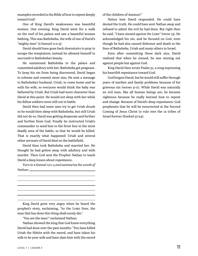examples recorded in the Bible of how to repent deeply toward God!

One of King David's weaknesses was beautiful women. One evening, King David went for a walk on the roof of his palace and saw a beautiful woman bathing. This was Bathsheba, the wife of one of David's "mighty men" (2 Samuel 11:2-3).

David should have gone back downstairs to pray to escape the temptation; instead he allowed himself to succumb to Bathsheba's beauty.

He summoned Bathsheba to the palace and committed adultery with her. Bathsheba got pregnant. To keep his sin from being discovered, David began to scheme and commit more sins. He sent a message to Bathsheba's husband, Uriah, to come home and be with his wife, so everyone would think the baby was fathered by Uriah. But Uriah had more character than David at this point. He would not sleep with her while his fellow soldiers were still out in battle.

David then had some men try to get Uriah drunk so he would then sleep with Bathsheba, but still Uriah did not do so. David was getting desperate and further and further from God. Finally he instructed Uriah's commander to send him to the front line in the most deadly area of the battle, so that he would be killed. That is exactly what happened: Uriah and several other servants of David died on the battlefield.

David then took Bathsheba and married her. He thought he had gotten away with adultery and with murder. Then God sent the Prophet Nathan to teach David a deep lesson about repentance.

*Turn to 2 Samuel 12:1-4 and summarize the words of Nathan:* 

King David grew very angry when he heard the prophet's story, exclaiming, "As the Lorp lives, the man that has done this thing shall surely die."

"You are the man!" exclaimed Nathan.

Nathan showed the king that God knew everything David had done over the past months: "You have killed Uriah the Hittite with the sword, and have taken his wife to be your wife and have slain him with the sword of the children of Ammon!"

Notice how David responded. He could have denied the truth. He could have sent Nathan away and refused to admit the evil he had done. But right then he said, "I have sinned *against the Lord"* (verse 13). He acknowledged his sin, and he focused on God, even though he had also caused dishonor and death in the lives of Bathsheba, Uriah and many others in Israel.

Even after committing these dark sins, David realized that when he sinned, he was sinning not against people but against God.

King David then wrote Psalm 51, a song expressing his heartfelt repentance toward God.

God forgave David, but he would still suffer through years of warfare and family problems because of his grievous sin (verses 9-11). While David was naturally an evil man, like all human beings are, he became righteous because he really learned how to repent and change. Because of David's deep repentance, God prophesies that he will be resurrected at the Second Coming of Jesus Christ to rule over the 12 tribes of Israel forever (Ezekiel 37:24).